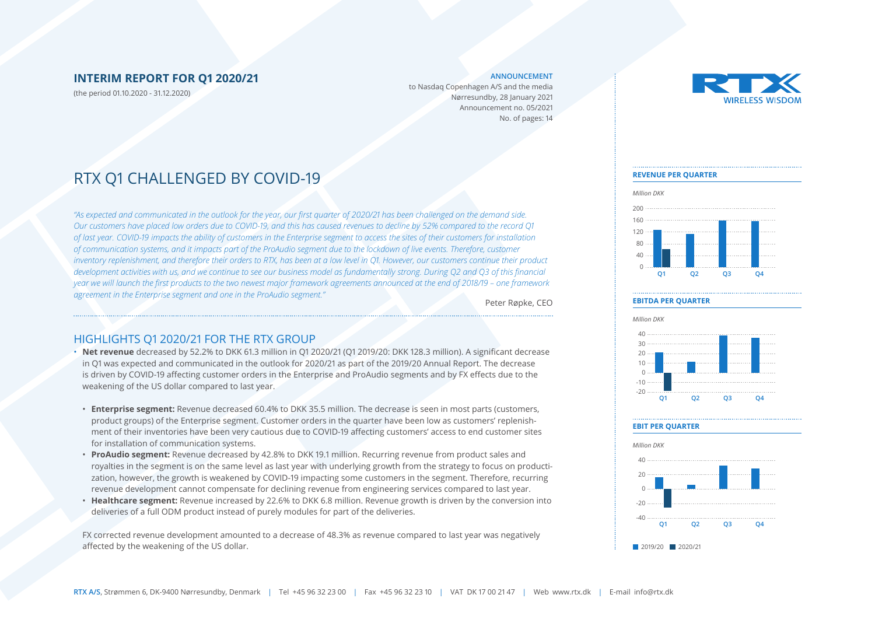#### **INTERIM REPORT FOR Q1 2020/21**

(the period 01.10.2020 - 31.12.2020)

#### **ANNOUNCEMENT**

to Nasdaq Copenhagen A/S and the media Nørresundby, 28 January 2021 Announcement no. 05/2021 No. of pages: 14



### RTX Q1 CHALLENGED BY COVID-19

*"As expected and communicated in the outlook for the year, our first quarter of 2020/21 has been challenged on the demand side. Our customers have placed low orders due to COVID-19, and this has caused revenues to decline by 52% compared to the record Q1 of last year. COVID-19 impacts the ability of customers in the Enterprise segment to access the sites of their customers for installation of communication systems, and it impacts part of the ProAudio segment due to the lockdown of live events. Therefore, customer inventory replenishment, and therefore their orders to RTX, has been at a low level in Q1. However, our customers continue their product development activities with us, and we continue to see our business model as fundamentally strong. During Q2 and Q3 of this financial year we will launch the first products to the two newest major framework agreements announced at the end of 2018/19 – one framework agreement in the Enterprise segment and one in the ProAudio segment."*

Peter Røpke, CEO

#### HIGHLIGHTS Q1 2020/21 FOR THE RTX GROUP

• **Net revenue** decreased by 52.2% to DKK 61.3 million in Q1 2020/21 (Q1 2019/20: DKK 128.3 million). A significant decrease in Q1 was expected and communicated in the outlook for 2020/21 as part of the 2019/20 Annual Report. The decrease is driven by COVID-19 affecting customer orders in the Enterprise and ProAudio segments and by FX effects due to the weakening of the US dollar compared to last year.

- **Enterprise segment:** Revenue decreased 60.4% to DKK 35.5 million. The decrease is seen in most parts (customers, product groups) of the Enterprise segment. Customer orders in the quarter have been low as customers' replenishment of their inventories have been very cautious due to COVID-19 affecting customers' access to end customer sites for installation of communication systems.
- **ProAudio segment:** Revenue decreased by 42.8% to DKK 19.1 million. Recurring revenue from product sales and royalties in the segment is on the same level as last year with underlying growth from the strategy to focus on productization, however, the growth is weakened by COVID-19 impacting some customers in the segment. Therefore, recurring revenue development cannot compensate for declining revenue from engineering services compared to last year.
- **Healthcare segment:** Revenue increased by 22.6% to DKK 6.8 million. Revenue growth is driven by the conversion into deliveries of a full ODM product instead of purely modules for part of the deliveries.

FX corrected revenue development amounted to a decrease of 48.3% as revenue compared to last year was negatively affected by the weakening of the US dollar.

#### **REVENUE PER QUARTER**



#### **EBITDA PER QUARTER**



#### **EBIT PER QUARTER**

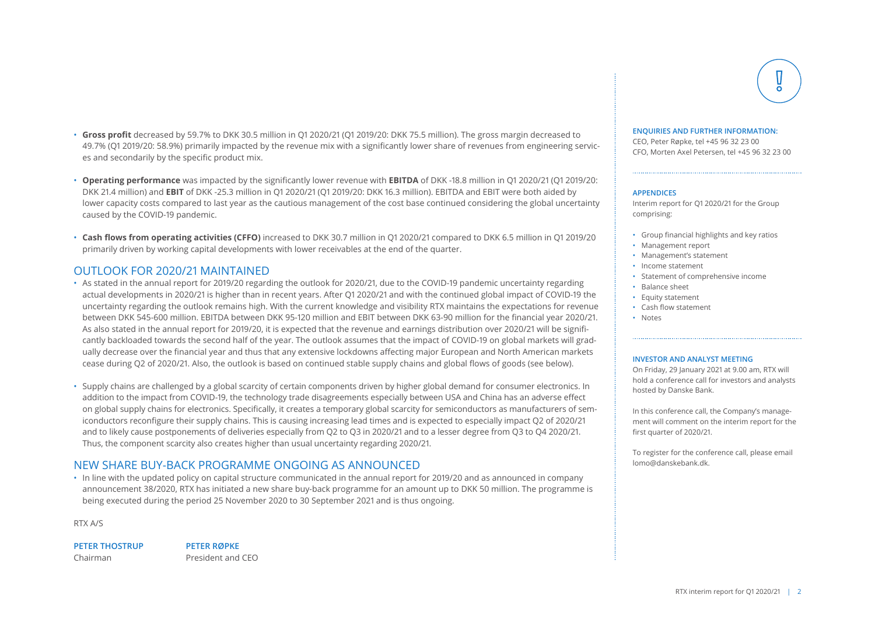RTX interim report for Q1 2020/21 | 2

- **Gross profit** decreased by 59.7% to DKK 30.5 million in Q1 2020/21 (Q1 2019/20: DKK 75.5 million). The gross margin decreased to 49.7% (Q1 2019/20: 58.9%) primarily impacted by the revenue mix with a significantly lower share of revenues from engineering services and secondarily by the specific product mix.
- **Operating performance** was impacted by the significantly lower revenue with **EBITDA** of DKK -18.8 million in Q1 2020/21 (Q1 2019/20: DKK 21.4 million) and **EBIT** of DKK -25.3 million in Q1 2020/21 (Q1 2019/20: DKK 16.3 million). EBITDA and EBIT were both aided by lower capacity costs compared to last year as the cautious management of the cost base continued considering the global uncertainty caused by the COVID-19 pandemic.
- **Cash flows from operating activities (CFFO)** increased to DKK 30.7 million in Q1 2020/21 compared to DKK 6.5 million in Q1 2019/20 primarily driven by working capital developments with lower receivables at the end of the quarter.

#### OUTLOOK FOR 2020/21 MAINTAINED

- As stated in the annual report for 2019/20 regarding the outlook for 2020/21, due to the COVID-19 pandemic uncertainty regarding actual developments in 2020/21 is higher than in recent years. After Q1 2020/21 and with the continued global impact of COVID-19 the uncertainty regarding the outlook remains high. With the current knowledge and visibility RTX maintains the expectations for revenue between DKK 545-600 million. EBITDA between DKK 95-120 million and EBIT between DKK 63-90 million for the financial year 2020/21. As also stated in the annual report for 2019/20, it is expected that the revenue and earnings distribution over 2020/21 will be significantly backloaded towards the second half of the year. The outlook assumes that the impact of COVID-19 on global markets will gradually decrease over the financial year and thus that any extensive lockdowns affecting major European and North American markets cease during Q2 of 2020/21. Also, the outlook is based on continued stable supply chains and global flows of goods (see below).
- Supply chains are challenged by a global scarcity of certain components driven by higher global demand for consumer electronics. In addition to the impact from COVID-19, the technology trade disagreements especially between USA and China has an adverse effect on global supply chains for electronics. Specifically, it creates a temporary global scarcity for semiconductors as manufacturers of semiconductors reconfigure their supply chains. This is causing increasing lead times and is expected to especially impact Q2 of 2020/21 and to likely cause postponements of deliveries especially from Q2 to Q3 in 2020/21 and to a lesser degree from Q3 to Q4 2020/21. Thus, the component scarcity also creates higher than usual uncertainty regarding 2020/21.

#### NEW SHARE BUY-BACK PROGRAMME ONGOING AS ANNOUNCED

• In line with the updated policy on capital structure communicated in the annual report for 2019/20 and as announced in company announcement 38/2020, RTX has initiated a new share buy-back programme for an amount up to DKK 50 million. The programme is being executed during the period 25 November 2020 to 30 September 2021 and is thus ongoing.

RTX A/S

**PETER THOSTRUP PETER RØPKE**

Chairman President and CEO

#### **ENQUIRIES AND FURTHER INFORMATION:**

CEO, Peter Røpke, tel +45 96 32 23 00 CFO, Morten Axel Petersen, tel +45 96 32 23 00

#### **APPENDICES**

Interim report for Q1 2020/21 for the Group comprising:

- Group financial highlights and key ratios
- Management report
- Management's statement
- Income statement
- Statement of comprehensive income
- Balance sheet
- Equity statement
- Cash flow statement
- Notes

#### **INVESTOR AND ANALYST MEETING**

On Friday, 29 January 2021 at 9.00 am, RTX will hold a conference call for investors and analysts hosted by Danske Bank.

In this conference call, the Company's management will comment on the interim report for the first quarter of 2020/21.

To register for the conference call, please email lomo@danskebank.dk.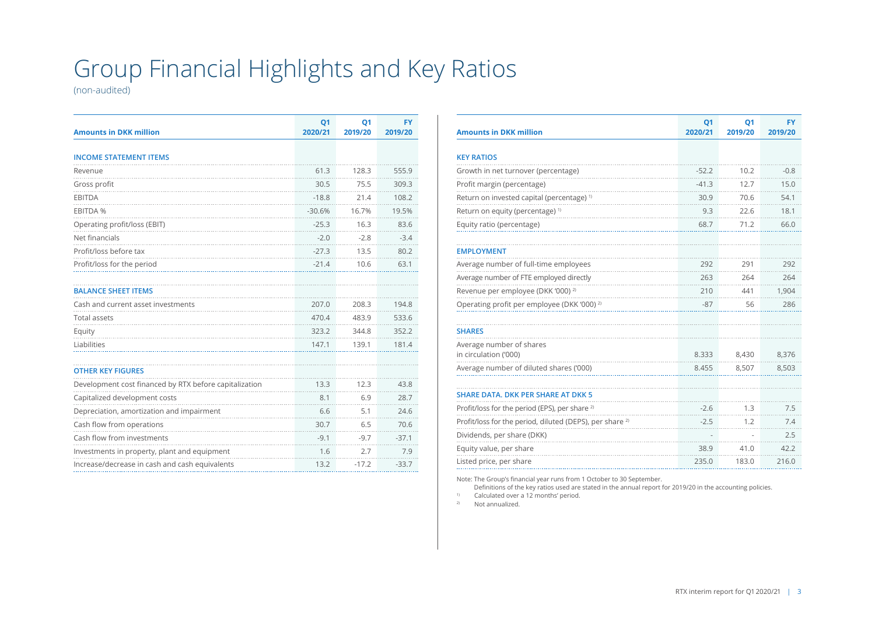## Group Financial Highlights and Key Ratios

(non-audited)

| <b>Amounts in DKK million</b>                          | Q <sub>1</sub><br>2020/21 | Q <sub>1</sub><br>2019/20 | <b>FY</b><br>2019/20 |
|--------------------------------------------------------|---------------------------|---------------------------|----------------------|
| <b>INCOME STATEMENT ITEMS</b>                          |                           |                           |                      |
| Revenue                                                | 61.3                      | 128.3                     | 555.9                |
| Gross profit                                           | 30.5                      | 75.5                      | 309.3                |
| <b>EBITDA</b>                                          | $-18.8$                   | 21.4                      | 108.2                |
| <b>EBITDA %</b>                                        | $-30.6%$                  | 16.7%                     | 19.5%                |
| Operating profit/loss (EBIT)                           | $-25.3$                   | 16.3                      | 83.6                 |
| Net financials                                         | $-2.0$                    | $-2.8$                    | $-3.4$               |
| Profit/loss before tax                                 | $-27.3$                   | 13.5                      | 80.2                 |
| Profit/loss for the period                             | $-21.4$                   | 10.6                      | 63.1                 |
|                                                        |                           |                           |                      |
| <b>BALANCE SHEET ITEMS</b>                             |                           |                           |                      |
| Cash and current asset investments                     | 207.0                     | 208.3                     | 194.8                |
| <b>Total assets</b>                                    | 470.4                     | 483.9                     | 533.6                |
| Equity                                                 | 323.2                     | 344.8                     | 352.2                |
| Liabilities                                            | 147.1                     | 139.1                     | 181.4                |
|                                                        |                           |                           |                      |
| <b>OTHER KEY FIGURES</b>                               |                           |                           |                      |
| Development cost financed by RTX before capitalization | 13.3                      | 12.3                      | 43.8                 |
| Capitalized development costs                          | 8.1                       | 6.9                       | 28.7                 |
| Depreciation, amortization and impairment              | 6.6                       | 5.1                       | 24.6                 |
| Cash flow from operations                              | 30.7                      | 6.5                       | 70.6                 |
| Cash flow from investments                             | $-9.1$                    | $-9.7$                    | $-37.1$              |
| Investments in property, plant and equipment           | 1.6                       | 2.7                       | 7.9                  |
| Increase/decrease in cash and cash equivalents         | 13.2                      | $-17.2$                   | $-33.7$              |

| <b>Amounts in DKK million</b>                                       | Q <sub>1</sub><br>2020/21 | <b>Q1</b><br>2019/20 | FY<br>2019/20 |
|---------------------------------------------------------------------|---------------------------|----------------------|---------------|
| <b>KEY RATIOS</b>                                                   |                           |                      |               |
| Growth in net turnover (percentage)                                 | $-52.2$                   | 10.2                 | $-0.8$        |
| Profit margin (percentage)                                          | $-41.3$                   | 12.7                 | 15.0          |
| Return on invested capital (percentage) <sup>1)</sup>               | 30.9                      | 70.6                 | 54.1          |
| Return on equity (percentage) <sup>1)</sup>                         | 9.3                       | 22.6                 | 18.1          |
| Equity ratio (percentage)                                           | 68.7                      | 71.2                 | 66.0          |
|                                                                     |                           |                      |               |
| <b>EMPLOYMENT</b>                                                   |                           |                      |               |
| Average number of full-time employees                               | 292                       | 291                  | 292           |
| Average number of FTE employed directly                             | 263                       | 264                  | 264           |
| Revenue per employee (DKK '000) <sup>2)</sup>                       | 210                       | 441                  | 1,904         |
| Operating profit per employee (DKK '000) <sup>2)</sup>              | $-87$                     | 56                   | 286           |
|                                                                     |                           |                      |               |
| <b>SHARES</b>                                                       |                           |                      |               |
| Average number of shares                                            |                           |                      |               |
| in circulation ('000)                                               | 8.333                     | 8,430                | 8,376         |
| Average number of diluted shares ('000)                             | 8.455                     | 8,507                | 8,503         |
| <b>SHARE DATA, DKK PER SHARE AT DKK 5</b>                           |                           |                      |               |
| Profit/loss for the period (EPS), per share <sup>2)</sup>           | $-2.6$                    | 1.3                  | 7.5           |
| Profit/loss for the period, diluted (DEPS), per share <sup>2)</sup> | $-2.5$                    | 1.2                  | 7.4           |
|                                                                     |                           |                      |               |
| Dividends, per share (DKK)                                          |                           |                      | 2.5           |
| Equity value, per share                                             | 38.9                      | 41.0                 | 42.2          |
| Listed price, per share                                             | 235.0                     | 183.0                | 216.0         |

Note: The Group's financial year runs from 1 October to 30 September.

Definitions of the key ratios used are stated in the annual report for 2019/20 in the accounting policies.

1) Calculated over a 12 months' period.

2) Not annualized.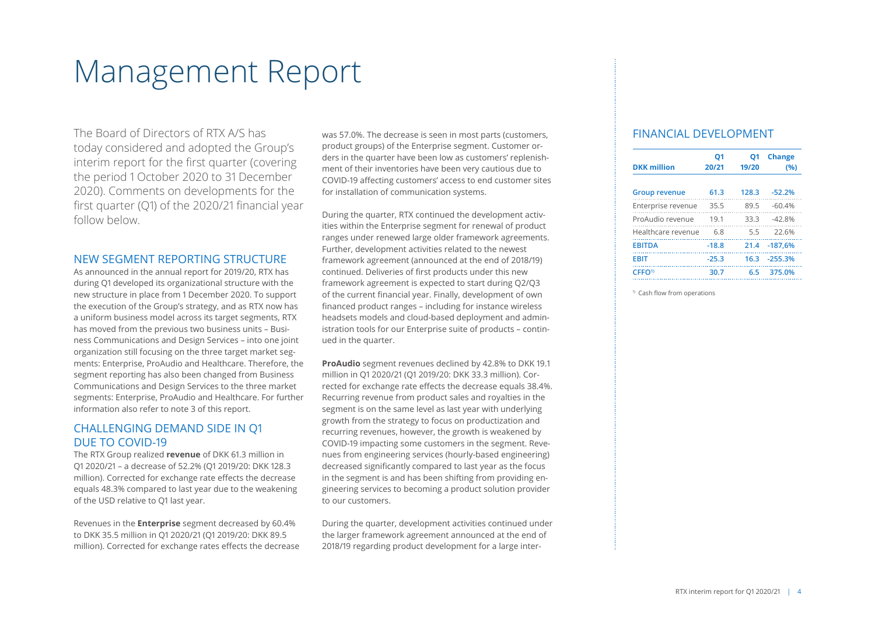# Management Report

The Board of Directors of RTX A/S has today considered and adopted the Group's interim report for the first quarter (covering the period 1 October 2020 to 31 December 2020). Comments on developments for the first quarter (Q1) of the 2020/21 financial year follow below.

#### NEW SEGMENT REPORTING STRUCTURE

As announced in the annual report for 2019/20, RTX has during Q1 developed its organizational structure with the new structure in place from 1 December 2020. To support the execution of the Group's strategy, and as RTX now has a uniform business model across its target segments, RTX has moved from the previous two business units – Business Communications and Design Services – into one joint organization still focusing on the three target market segments: Enterprise, ProAudio and Healthcare. Therefore, the segment reporting has also been changed from Business Communications and Design Services to the three market segments: Enterprise, ProAudio and Healthcare. For further information also refer to note 3 of this report.

#### CHALLENGING DEMAND SIDE IN Q1 DUE TO COVID-19

The RTX Group realized **revenue** of DKK 61.3 million in Q1 2020/21 – a decrease of 52.2% (Q1 2019/20: DKK 128.3 million). Corrected for exchange rate effects the decrease equals 48.3% compared to last year due to the weakening of the USD relative to Q1 last year.

Revenues in the **Enterprise** segment decreased by 60.4% to DKK 35.5 million in Q1 2020/21 (Q1 2019/20: DKK 89.5 million). Corrected for exchange rates effects the decrease was 57.0%. The decrease is seen in most parts (customers, product groups) of the Enterprise segment. Customer orders in the quarter have been low as customers' replenishment of their inventories have been very cautious due to COVID-19 affecting customers' access to end customer sites for installation of communication systems.

During the quarter, RTX continued the development activities within the Enterprise segment for renewal of product ranges under renewed large older framework agreements. Further, development activities related to the newest framework agreement (announced at the end of 2018/19) continued. Deliveries of first products under this new framework agreement is expected to start during Q2/Q3 of the current financial year. Finally, development of own financed product ranges – including for instance wireless headsets models and cloud-based deployment and administration tools for our Enterprise suite of products – continued in the quarter.

**ProAudio** segment revenues declined by 42.8% to DKK 19.1 million in Q1 2020/21 (Q1 2019/20: DKK 33.3 million). Corrected for exchange rate effects the decrease equals 38.4%. Recurring revenue from product sales and royalties in the segment is on the same level as last year with underlying growth from the strategy to focus on productization and recurring revenues, however, the growth is weakened by COVID-19 impacting some customers in the segment. Revenues from engineering services (hourly-based engineering) decreased significantly compared to last year as the focus in the segment is and has been shifting from providing engineering services to becoming a product solution provider to our customers.

During the quarter, development activities continued under the larger framework agreement announced at the end of 2018/19 regarding product development for a large inter-

#### FINANCIAL DEVELOPMENT

| <b>DKK million</b>   | Q1<br>20/21 | O1<br>19/20 | <b>Change</b><br>(%) |
|----------------------|-------------|-------------|----------------------|
| <b>Group revenue</b> | 61.3        | 128.3       | $-52.2%$             |
| Enterprise revenue   | 35.5        | 89.5        | $-60.4%$             |
| ProAudio revenue     | 19.1        | 33.3        | $-42.8%$             |
| Healthcare revenue   | 6.8         | 5.5         | 22.6%                |
| <b>FRITDA</b>        | $-18.8$     | 21.4        | $-187.6%$            |
| <b>FRIT</b>          | $-25.3$     | 16.3        | $-255.3%$            |
| CFFO <sup>1)</sup>   | 30.7        | 6.5         | 375.0%               |

<sup>1)</sup> Cash flow from operations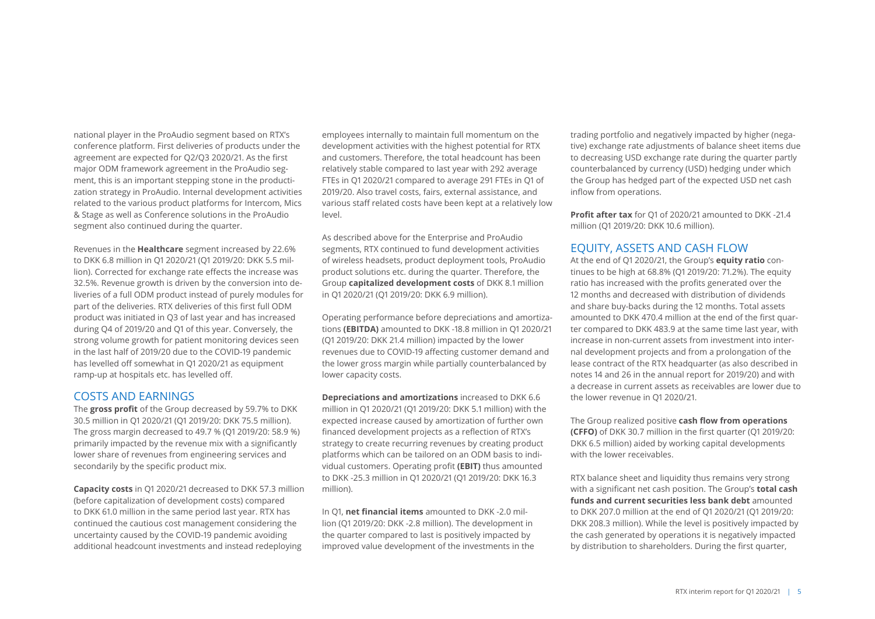national player in the ProAudio segment based on RTX's conference platform. First deliveries of products under the agreement are expected for Q2/Q3 2020/21. As the first major ODM framework agreement in the ProAudio segment, this is an important stepping stone in the productization strategy in ProAudio. Internal development activities related to the various product platforms for Intercom, Mics & Stage as well as Conference solutions in the ProAudio segment also continued during the quarter.

Revenues in the **Healthcare** segment increased by 22.6% to DKK 6.8 million in Q1 2020/21 (Q1 2019/20: DKK 5.5 million). Corrected for exchange rate effects the increase was 32.5%. Revenue growth is driven by the conversion into deliveries of a full ODM product instead of purely modules for part of the deliveries. RTX deliveries of this first full ODM product was initiated in Q3 of last year and has increased during Q4 of 2019/20 and Q1 of this year. Conversely, the strong volume growth for patient monitoring devices seen in the last half of 2019/20 due to the COVID-19 pandemic has levelled off somewhat in Q1 2020/21 as equipment ramp-up at hospitals etc. has levelled off.

#### COSTS AND EARNINGS

The **gross profit** of the Group decreased by 59.7% to DKK 30.5 million in Q1 2020/21 (Q1 2019/20: DKK 75.5 million). The gross margin decreased to 49.7 % (Q1 2019/20: 58.9 %) primarily impacted by the revenue mix with a significantly lower share of revenues from engineering services and secondarily by the specific product mix.

**Capacity costs** in Q1 2020/21 decreased to DKK 57.3 million (before capitalization of development costs) compared to DKK 61.0 million in the same period last year. RTX has continued the cautious cost management considering the uncertainty caused by the COVID-19 pandemic avoiding additional headcount investments and instead redeploying

employees internally to maintain full momentum on the development activities with the highest potential for RTX and customers. Therefore, the total headcount has been relatively stable compared to last year with 292 average FTEs in Q1 2020/21 compared to average 291 FTEs in Q1 of 2019/20. Also travel costs, fairs, external assistance, and various staff related costs have been kept at a relatively low level.

As described above for the Enterprise and ProAudio segments, RTX continued to fund development activities of wireless headsets, product deployment tools, ProAudio product solutions etc. during the quarter. Therefore, the Group **capitalized development costs** of DKK 8.1 million in Q1 2020/21 (Q1 2019/20: DKK 6.9 million).

Operating performance before depreciations and amortizations **(EBITDA)** amounted to DKK -18.8 million in Q1 2020/21 (Q1 2019/20: DKK 21.4 million) impacted by the lower revenues due to COVID-19 affecting customer demand and the lower gross margin while partially counterbalanced by lower capacity costs.

**Depreciations and amortizations** increased to DKK 6.6 million in Q1 2020/21 (Q1 2019/20: DKK 5.1 million) with the expected increase caused by amortization of further own financed development projects as a reflection of RTX's strategy to create recurring revenues by creating product platforms which can be tailored on an ODM basis to individual customers. Operating profit **(EBIT)** thus amounted to DKK -25.3 million in Q1 2020/21 (Q1 2019/20: DKK 16.3 million).

In Q1, **net financial items** amounted to DKK -2.0 million (Q1 2019/20: DKK -2.8 million). The development in the quarter compared to last is positively impacted by improved value development of the investments in the trading portfolio and negatively impacted by higher (negative) exchange rate adjustments of balance sheet items due to decreasing USD exchange rate during the quarter partly counterbalanced by currency (USD) hedging under which the Group has hedged part of the expected USD net cash inflow from operations.

**Profit after tax** for Q1 of 2020/21 amounted to DKK -21.4 million (Q1 2019/20: DKK 10.6 million).

#### EQUITY, ASSETS AND CASH FLOW

At the end of Q1 2020/21, the Group's **equity ratio** continues to be high at 68.8% (Q1 2019/20: 71.2%). The equity ratio has increased with the profits generated over the 12 months and decreased with distribution of dividends and share buy-backs during the 12 months. Total assets amounted to DKK 470.4 million at the end of the first quarter compared to DKK 483.9 at the same time last year, with increase in non-current assets from investment into internal development projects and from a prolongation of the lease contract of the RTX headquarter (as also described in notes 14 and 26 in the annual report for 2019/20) and with a decrease in current assets as receivables are lower due to the lower revenue in Q1 2020/21.

The Group realized positive **cash flow from operations (CFFO)** of DKK 30.7 million in the first quarter (Q1 2019/20: DKK 6.5 million) aided by working capital developments with the lower receivables.

RTX balance sheet and liquidity thus remains very strong with a significant net cash position. The Group's **total cash funds and current securities less bank debt** amounted to DKK 207.0 million at the end of Q1 2020/21 (Q1 2019/20: DKK 208.3 million). While the level is positively impacted by the cash generated by operations it is negatively impacted by distribution to shareholders. During the first quarter,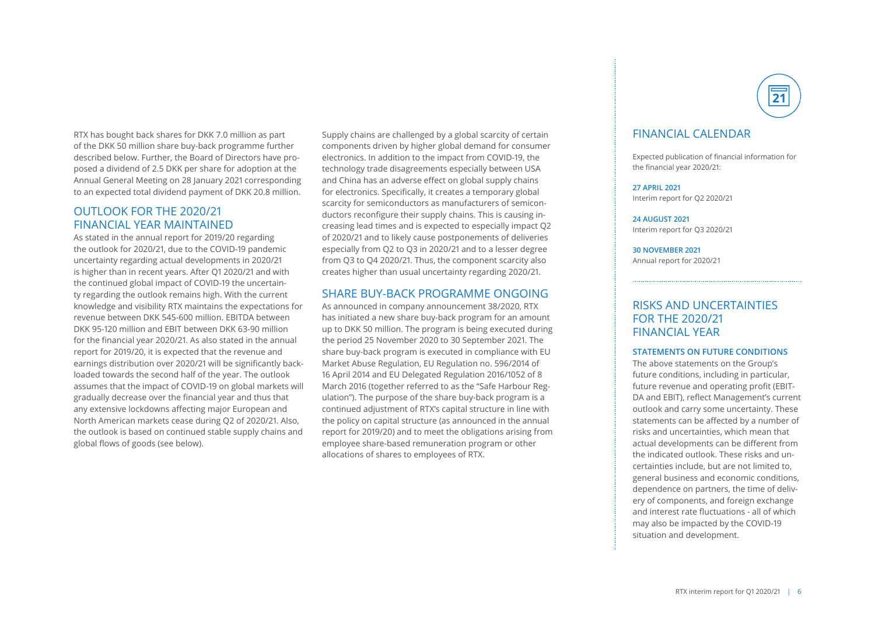RTX has bought back shares for DKK 7.0 million as part of the DKK 50 million share buy-back programme further described below. Further, the Board of Directors have proposed a dividend of 2.5 DKK per share for adoption at the Annual General Meeting on 28 January 2021 corresponding to an expected total dividend payment of DKK 20.8 million.

#### OUTLOOK FOR THE 2020/21 FINANCIAL YEAR MAINTAINED

As stated in the annual report for 2019/20 regarding the outlook for 2020/21, due to the COVID-19 pandemic uncertainty regarding actual developments in 2020/21 is higher than in recent years. After Q1 2020/21 and with the continued global impact of COVID-19 the uncertainty regarding the outlook remains high. With the current knowledge and visibility RTX maintains the expectations for revenue between DKK 545-600 million. EBITDA between DKK 95-120 million and EBIT between DKK 63-90 million for the financial year 2020/21. As also stated in the annual report for 2019/20, it is expected that the revenue and earnings distribution over 2020/21 will be significantly backloaded towards the second half of the year. The outlook assumes that the impact of COVID-19 on global markets will gradually decrease over the financial year and thus that any extensive lockdowns affecting major European and North American markets cease during Q2 of 2020/21. Also, the outlook is based on continued stable supply chains and global flows of goods (see below).

Supply chains are challenged by a global scarcity of certain components driven by higher global demand for consumer electronics. In addition to the impact from COVID-19, the technology trade disagreements especially between USA and China has an adverse effect on global supply chains for electronics. Specifically, it creates a temporary global scarcity for semiconductors as manufacturers of semiconductors reconfigure their supply chains. This is causing increasing lead times and is expected to especially impact Q2 of 2020/21 and to likely cause postponements of deliveries especially from Q2 to Q3 in 2020/21 and to a lesser degree from Q3 to Q4 2020/21. Thus, the component scarcity also creates higher than usual uncertainty regarding 2020/21.

#### SHARE BUY-BACK PROGRAMME ONGOING

As announced in company announcement 38/2020, RTX has initiated a new share buy-back program for an amount up to DKK 50 million. The program is being executed during the period 25 November 2020 to 30 September 2021. The share buy-back program is executed in compliance with EU Market Abuse Regulation, EU Regulation no. 596/2014 of 16 April 2014 and EU Delegated Regulation 2016/1052 of 8 March 2016 (together referred to as the "Safe Harbour Regulation"). The purpose of the share buy-back program is a continued adjustment of RTX's capital structure in line with the policy on capital structure (as announced in the annual report for 2019/20) and to meet the obligations arising from employee share-based remuneration program or other allocations of shares to employees of RTX.



### FINANCIAL CALENDAR

Expected publication of financial information for the financial year 2020/21:

**27 APRIL 2021** Interim report for Q2 2020/21

**24 AUGUST 2021** Interim report for Q3 2020/21

**30 NOVEMBER 2021** Annual report for 2020/21

### RISKS AND UNCERTAINTIES FOR THE 2020/21 FINANCIAL YEAR

#### **STATEMENTS ON FUTURE CONDITIONS**

The above statements on the Group's future conditions, including in particular, future revenue and operating profit (EBIT-DA and EBIT), reflect Management's current outlook and carry some uncertainty. These statements can be affected by a number of risks and uncertainties, which mean that actual developments can be different from the indicated outlook. These risks and uncertainties include, but are not limited to, general business and economic conditions, dependence on partners, the time of delivery of components, and foreign exchange and interest rate fluctuations - all of which may also be impacted by the COVID-19 situation and development.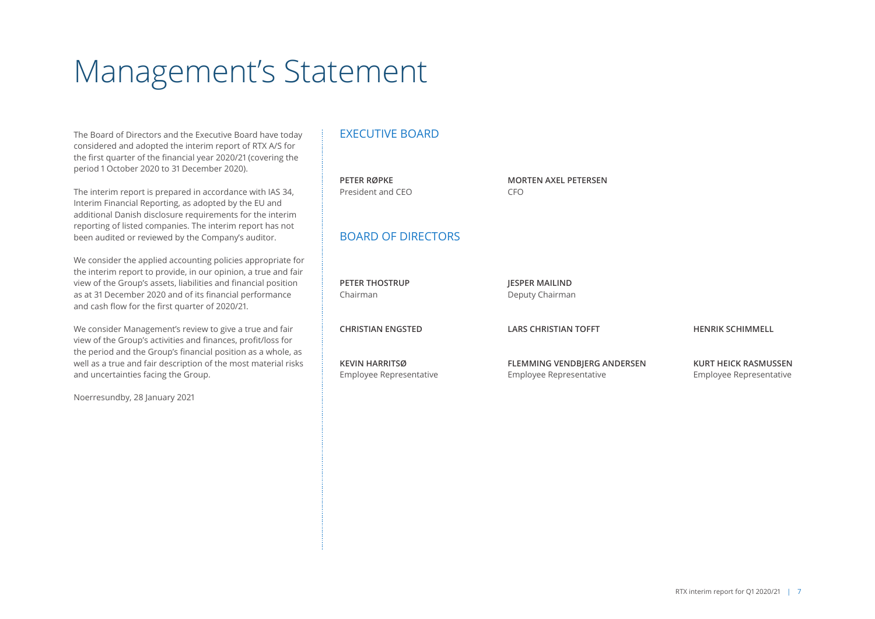# Management's Statement

The Board of Directors and the Executive Board have today considered and adopted the interim report of RTX A/S for the first quarter of the financial year 2020/21 (covering the period 1 October 2020 to 31 December 2020).

The interim report is prepared in accordance with IAS 34, Interim Financial Reporting, as adopted by the EU and additional Danish disclosure requirements for the interim reporting of listed companies. The interim report has not been audited or reviewed by the Company's auditor.

We consider the applied accounting policies appropriate for the interim report to provide, in our opinion, a true and fair view of the Group's assets, liabilities and financial position as at 31 December 2020 and of its financial performance and cash flow for the first quarter of 2020/21.

We consider Management's review to give a true and fair view of the Group's activities and finances, profit/loss for the period and the Group's financial position as a whole, as well as a true and fair description of the most material risks and uncertainties facing the Group.

Noerresundby, 28 January 2021

### EXECUTIVE BOARD

| <b>PETER RØPKE</b><br>President and CEO          | <b>MORTEN AXEL PETERSEN</b><br>CFO.                    |                                                        |
|--------------------------------------------------|--------------------------------------------------------|--------------------------------------------------------|
| <b>BOARD OF DIRECTORS</b>                        |                                                        |                                                        |
| <b>PETER THOSTRUP</b><br>Chairman                | <b>JESPER MAILIND</b><br>Deputy Chairman               |                                                        |
| <b>CHRISTIAN ENGSTED</b>                         | <b>LARS CHRISTIAN TOFFT</b>                            | <b>HENRIK SCHIMMELL</b>                                |
| <b>KEVIN HARRITSØ</b><br>Employee Representative | FLEMMING VENDBJERG ANDERSEN<br>Employee Representative | <b>KURT HEICK RASMUSSEN</b><br>Employee Representative |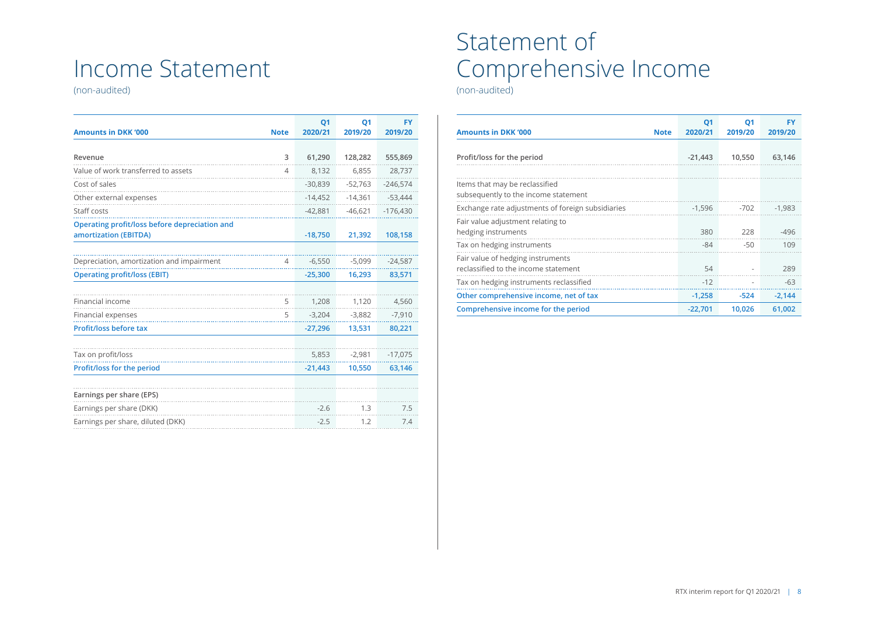## Income Statement

(non-audited)

| <b>Amounts in DKK '000</b>                                             | <b>Note</b>    | <b>Q1</b><br>2020/21 | <b>Q1</b><br>2019/20 | <b>FY</b><br>2019/20 |
|------------------------------------------------------------------------|----------------|----------------------|----------------------|----------------------|
|                                                                        |                |                      |                      |                      |
| Revenue                                                                | 3              | 61,290               | 128,282              | 555,869              |
| Value of work transferred to assets                                    | 4              | 8,132                | 6,855                | 28,737               |
| Cost of sales                                                          |                | $-30,839$            | $-52,763$            | $-246,574$           |
| Other external expenses                                                |                | $-14,452$            | $-14,361$            | $-53,444$            |
| Staff costs                                                            |                | $-42,881$            | $-46,621$            | $-176,430$           |
| Operating profit/loss before depreciation and<br>amortization (EBITDA) |                | $-18,750$            | 21,392               | 108,158              |
|                                                                        |                |                      |                      |                      |
| Depreciation, amortization and impairment                              | $\overline{4}$ | $-6,550$             | $-5,099$             | $-24,587$            |
| <b>Operating profit/loss (EBIT)</b>                                    |                | $-25,300$            | 16,293               | 83,571               |
|                                                                        |                |                      |                      |                      |
| Financial income                                                       | 5              | 1,208                | 1,120                | 4,560                |
| Financial expenses                                                     | 5              | $-3,204$             | $-3,882$             | $-7,910$             |
| Profit/loss before tax                                                 |                | $-27,296$            | 13,531               | 80,221               |
|                                                                        |                |                      |                      |                      |
| Tax on profit/loss                                                     |                | 5,853                | $-2,981$             | $-17,075$            |
| Profit/loss for the period                                             |                | $-21,443$            | 10,550               | 63,146               |
|                                                                        |                |                      |                      |                      |
| Earnings per share (EPS)                                               |                |                      |                      |                      |
| Earnings per share (DKK)                                               |                | $-2.6$               | 1.3                  | 7.5                  |
| Earnings per share, diluted (DKK)                                      |                | $-2.5$               | 1.2                  | 7.4                  |

## Statement of Comprehensive Income

(non-audited)

| <b>Amounts in DKK '000</b>                                                | <b>Note</b> | Q <sub>1</sub><br>2020/21 | Q1<br>2019/20 | <b>FY</b><br>2019/20 |
|---------------------------------------------------------------------------|-------------|---------------------------|---------------|----------------------|
| Profit/loss for the period                                                |             | $-21,443$                 | 10,550        | 63,146               |
| Items that may be reclassified<br>subsequently to the income statement    |             |                           |               |                      |
| Exchange rate adjustments of foreign subsidiaries                         |             | $-1,596$                  | $-702$        | $-1,983$             |
| Fair value adjustment relating to<br>hedging instruments                  |             | 380                       | 228           | $-496$               |
| Tax on hedging instruments                                                |             | $-84$                     | $-50$         | 109                  |
| Fair value of hedging instruments<br>reclassified to the income statement |             | 54                        |               | 289                  |
| Tax on hedging instruments reclassified                                   |             | $-12$                     | ٠             | $-63$                |
| Other comprehensive income, net of tax                                    |             | $-1,258$                  | $-524$        | $-2,144$             |
| Comprehensive income for the period                                       |             | $-22,701$                 | 10,026        | 61,002               |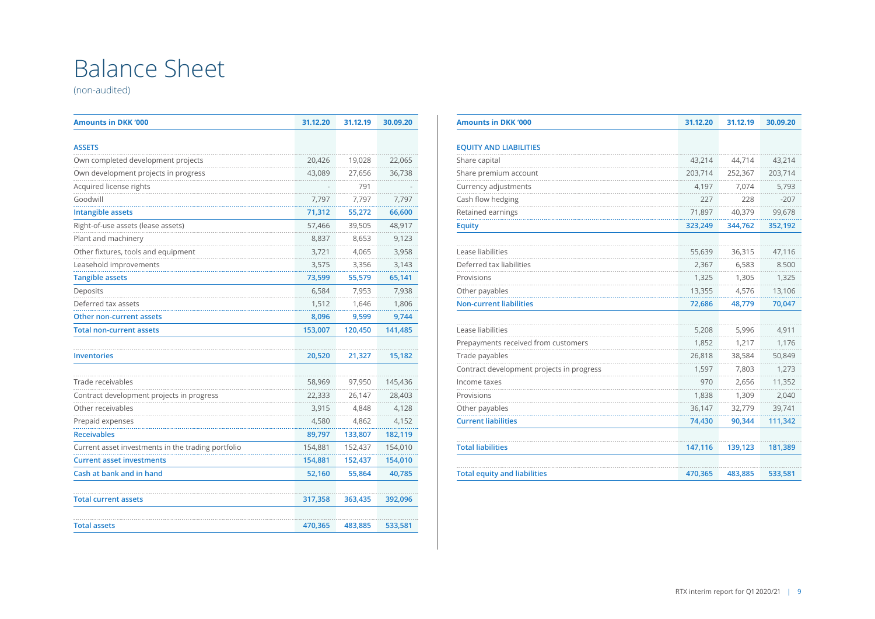## Balance Sheet

(non-audited)

| <b>Amounts in DKK '000</b>                         |         | 31.12.19 | 30.09.20 |
|----------------------------------------------------|---------|----------|----------|
|                                                    |         |          |          |
| <b>ASSETS</b>                                      |         |          |          |
| Own completed development projects                 | 20,426  | 19,028   | 22,065   |
| Own development projects in progress               | 43,089  | 27,656   | 36,738   |
| Acquired license rights                            |         | 791      |          |
| Goodwill                                           | 7,797   | 7,797    | 7,797    |
| <b>Intangible assets</b>                           | 71,312  | 55,272   | 66,600   |
| Right-of-use assets (lease assets)                 | 57,466  | 39,505   | 48,917   |
| Plant and machinery                                | 8,837   | 8,653    | 9,123    |
| Other fixtures, tools and equipment                | 3,721   | 4,065    | 3,958    |
| Leasehold improvements                             | 3,575   | 3,356    | 3,143    |
| <b>Tangible assets</b>                             | 73,599  | 55,579   | 65,141   |
| Deposits                                           | 6,584   | 7,953    | 7,938    |
| Deferred tax assets                                | 1,512   | 1,646    | 1,806    |
| Other non-current assets                           | 8,096   | 9,599    | 9,744    |
| <b>Total non-current assets</b>                    | 153,007 | 120,450  | 141,485  |
| <b>Inventories</b>                                 | 20,520  | 21,327   | 15,182   |
| Trade receivables                                  | 58,969  | 97,950   | 145,436  |
| Contract development projects in progress          | 22,333  | 26,147   | 28,403   |
| Other receivables                                  | 3,915   | 4,848    | 4,128    |
| Prepaid expenses                                   | 4,580   | 4,862    | 4,152    |
| <b>Receivables</b>                                 | 89,797  | 133,807  | 182,119  |
| Current asset investments in the trading portfolio | 154,881 | 152,437  | 154,010  |
| <b>Current asset investments</b>                   | 154,881 | 152,437  | 154,010  |
| Cash at bank and in hand                           | 52,160  | 55,864   | 40,785   |
| <b>Total current assets</b>                        | 317,358 | 363,435  | 392,096  |
| <b>Total assets</b>                                | 470,365 | 483,885  | 533,581  |

| <b>Amounts in DKK '000</b>                | 31.12.20 | 31.12.19 | 30.09.20 |
|-------------------------------------------|----------|----------|----------|
|                                           |          |          |          |
| <b>EQUITY AND LIABILITIES</b>             |          |          |          |
| Share capital                             | 43,214   | 44.714   | 43,214   |
| Share premium account                     | 203,714  | 252,367  | 203,714  |
| Currency adjustments                      | 4,197    | 7,074    | 5,793    |
| Cash flow hedging                         | 227      | 228      | $-207$   |
| Retained earnings                         | 71,897   | 40,379   | 99,678   |
| <b>Equity</b>                             | 323,249  | 344,762  | 352,192  |
|                                           |          |          |          |
| Lease liabilities                         | 55,639   | 36,315   | 47,116   |
| Deferred tax liabilities                  | 2,367    | 6,583    | 8.500    |
| Provisions                                | 1,325    | 1,305    | 1,325    |
| Other payables                            | 13,355   | 4,576    | 13,106   |
| <b>Non-current liabilities</b>            | 72,686   | 48,779   | 70,047   |
|                                           |          |          |          |
| Lease liabilities                         | 5,208    | 5,996    | 4,911    |
| Prepayments received from customers       | 1,852    | 1.217    | 1,176    |
| Trade payables                            | 26,818   | 38,584   | 50,849   |
| Contract development projects in progress | 1,597    | 7,803    | 1,273    |
| Income taxes                              | 970      | 2,656    | 11,352   |
| Provisions                                | 1,838    | 1,309    | 2,040    |
| Other payables                            | 36,147   | 32,779   | 39,741   |
| <b>Current liabilities</b>                | 74,430   | 90,344   | 111,342  |
|                                           |          |          |          |
| <b>Total liabilities</b>                  | 147,116  | 139,123  | 181,389  |
|                                           |          |          |          |
| <b>Total equity and liabilities</b>       | 470,365  | 483,885  | 533,581  |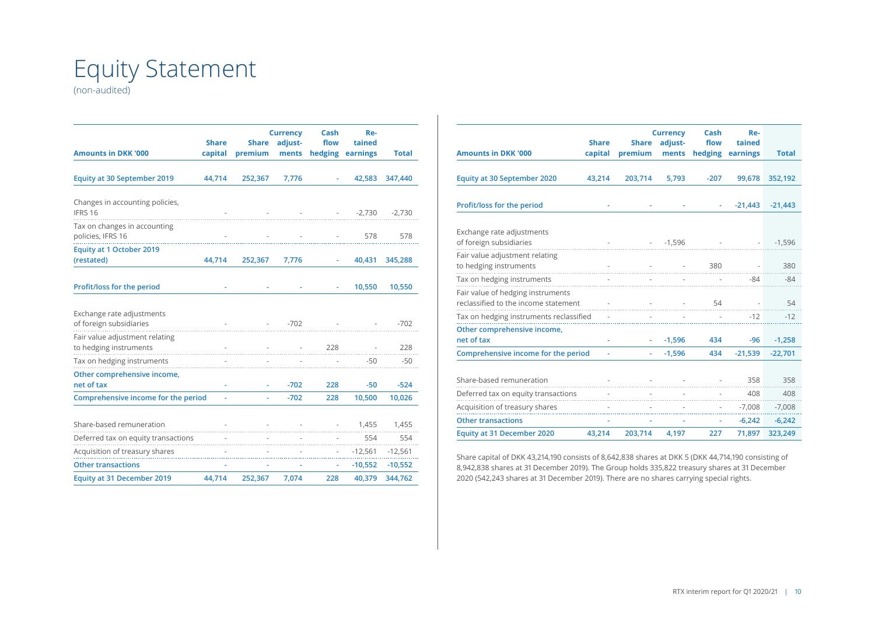## Equity Statement

(non-audited)

| <b>Amounts in DKK '000</b>                               | <b>Share</b><br>capital | <b>Share</b><br>premium | <b>Currency</b><br>adjust-<br>ments | Cash<br>flow<br>hedging | Re-<br>tained<br>earnings | <b>Total</b> |
|----------------------------------------------------------|-------------------------|-------------------------|-------------------------------------|-------------------------|---------------------------|--------------|
|                                                          |                         |                         |                                     |                         |                           |              |
| <b>Equity at 30 September 2019</b>                       | 44,714                  | 252,367                 | 7,776                               |                         | 42,583                    | 347,440      |
| Changes in accounting policies,<br>IFRS 16               |                         |                         |                                     | <b>Contractor</b>       | $-2,730$                  | $-2,730$     |
| Tax on changes in accounting<br>policies, IFRS 16        |                         |                         |                                     |                         | 578                       | 578          |
| <b>Equity at 1 October 2019</b><br>(restated)            | 44,714                  | 252,367                 | 7,776                               | ÷.                      | 40,431                    | 345,288      |
| Profit/loss for the period                               |                         |                         |                                     |                         | 10,550                    | 10,550       |
| Exchange rate adjustments<br>of foreign subsidiaries     |                         |                         | $-702$                              |                         |                           | $-702$       |
| Fair value adjustment relating<br>to hedging instruments |                         |                         | $\sim 10^{-11}$                     | 228                     |                           | 228          |
| Tax on hedging instruments                               |                         |                         |                                     |                         | $-50$                     | $-50$        |
| Other comprehensive income,<br>net of tax                |                         |                         | $-702$                              | 228                     | $-50$                     | $-524$       |
| Comprehensive income for the period                      | ÷,                      |                         | $-702$                              | 228                     | 10,500                    | 10,026       |
| Share-based remuneration                                 |                         |                         |                                     |                         | 1,455<br>All Corporation  | 1,455        |
| Deferred tax on equity transactions                      |                         |                         |                                     |                         | 554                       | 554          |
| Acquisition of treasury shares                           |                         |                         |                                     |                         | $-12,561$                 | $-12,561$    |
| <b>Other transactions</b>                                |                         |                         |                                     |                         | $-10,552$                 | $-10,552$    |
| <b>Equity at 31 December 2019</b>                        | 44,714                  | 252,367                 | 7,074                               | 228                     | 40,379                    | 344,762      |

|                                                                           |              |              | <b>Currency</b> | Cash    | Re-       |              |
|---------------------------------------------------------------------------|--------------|--------------|-----------------|---------|-----------|--------------|
|                                                                           | <b>Share</b> | <b>Share</b> | adjust-         | flow    | tained    |              |
| <b>Amounts in DKK '000</b>                                                | capital      | premium      | ments           | hedging | earnings  | <b>Total</b> |
| <b>Equity at 30 September 2020</b>                                        | 43,214       | 203,714      | 5,793           | $-207$  | 99,678    | 352,192      |
| Profit/loss for the period                                                |              |              |                 |         | $-21,443$ | $-21,443$    |
| Exchange rate adjustments<br>of foreign subsidiaries                      |              |              | $-1,596$        |         |           | $-1,596$     |
| Fair value adjustment relating<br>to hedging instruments                  |              |              |                 | 380     |           | 380          |
| Tax on hedging instruments                                                |              |              |                 |         | $-84$     | $-84$        |
| Fair value of hedging instruments<br>reclassified to the income statement |              |              |                 | 54      |           | 54           |
| Tax on hedging instruments reclassified                                   |              |              |                 |         | $-12$     | $-12$        |
| Other comprehensive income,<br>net of tax                                 |              |              | $-1,596$        | 434     | $-96$     | $-1,258$     |
| Comprehensive income for the period                                       |              |              | $-1,596$        | 434     | $-21,539$ | $-22,701$    |
| Share-based remuneration                                                  |              |              |                 |         | 358       | 358          |
| Deferred tax on equity transactions                                       |              |              |                 |         | 408       | 408          |
| Acquisition of treasury shares                                            |              |              |                 |         | $-7,008$  | $-7,008$     |
| <b>Other transactions</b>                                                 |              |              |                 |         | $-6,242$  | $-6,242$     |
| <b>Equity at 31 December 2020</b>                                         | 43.214       | 203,714      | 4,197           | 227     | 71,897    | 323,249      |

Share capital of DKK 43,214,190 consists of 8,642,838 shares at DKK 5 (DKK 44,714,190 consisting of 8,942,838 shares at 31 December 2019). The Group holds 335,822 treasury shares at 31 December 2020 (542,243 shares at 31 December 2019). There are no shares carrying special rights.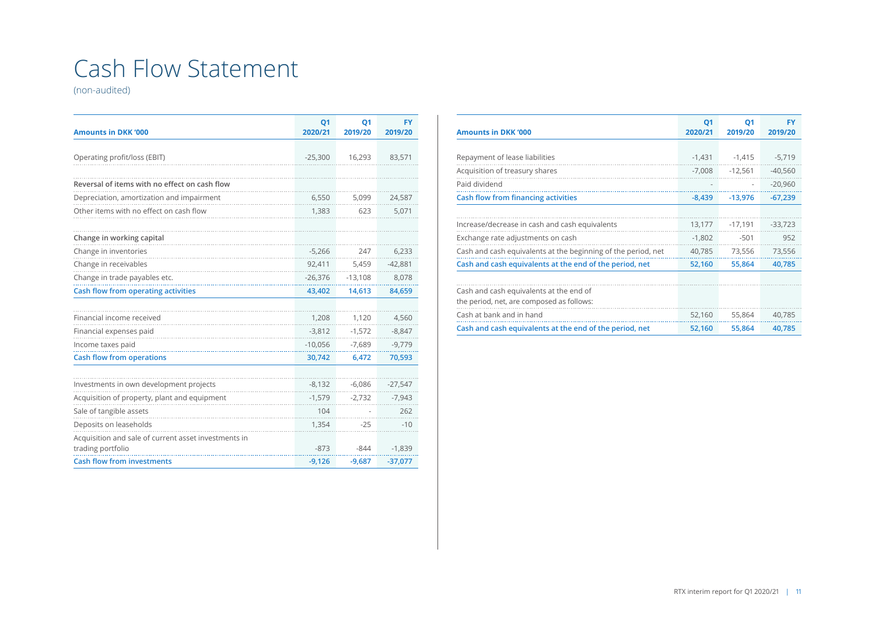## Cash Flow Statement

(non-audited)

| <b>Amounts in DKK '000</b>                                                | <b>Q1</b><br>2020/21 | <b>Q1</b><br>2019/20 | <b>FY</b><br>2019/20 |
|---------------------------------------------------------------------------|----------------------|----------------------|----------------------|
|                                                                           |                      |                      |                      |
| Operating profit/loss (EBIT)                                              | $-25,300$            | 16,293               | 83,571               |
|                                                                           |                      |                      |                      |
| Reversal of items with no effect on cash flow                             |                      |                      |                      |
| Depreciation, amortization and impairment                                 | 6,550                | 5,099                | 24,587               |
| Other items with no effect on cash flow                                   | 1,383                | 623                  | 5,071                |
|                                                                           |                      |                      |                      |
| Change in working capital                                                 |                      |                      |                      |
| Change in inventories                                                     | $-5,266$             | 247                  | 6,233                |
| Change in receivables                                                     | 92,411               | 5,459                | $-42,881$            |
| Change in trade payables etc.                                             | $-26,376$            | $-13,108$            | 8,078                |
| <b>Cash flow from operating activities</b>                                | 43,402               | 14,613               | 84,659               |
|                                                                           |                      |                      |                      |
| Financial income received                                                 | 1,208                | 1,120                | 4,560                |
| Financial expenses paid                                                   | $-3,812$             | $-1,572$             | $-8,847$             |
| Income taxes paid                                                         | $-10,056$            | $-7,689$             | $-9,779$             |
| <b>Cash flow from operations</b>                                          | 30,742               | 6,472                | 70,593               |
|                                                                           |                      |                      |                      |
| Investments in own development projects                                   | $-8,132$             | $-6,086$             | $-27,547$            |
| Acquisition of property, plant and equipment                              | $-1,579$             | $-2,732$             | $-7,943$             |
| Sale of tangible assets                                                   | 104                  |                      | 262                  |
| Deposits on leaseholds                                                    | 1,354                | $-25$                | $-10$                |
| Acquisition and sale of current asset investments in<br>trading portfolio | $-873$               | $-844$               | $-1,839$             |
| <b>Cash flow from investments</b>                                         | $-9,126$             | $-9,687$             | $-37,077$            |

| <b>Amounts in DKK '000</b>                                    | <b>Q1</b><br>2020/21 | Q1<br>2019/20 | <b>FY</b><br>2019/20 |
|---------------------------------------------------------------|----------------------|---------------|----------------------|
|                                                               |                      |               |                      |
| Repayment of lease liabilities                                | $-1,431$             | $-1,415$      | $-5,719$             |
| Acquisition of treasury shares                                | $-7,008$             | $-12,561$     | $-40,560$            |
| Paid dividend                                                 |                      |               | $-20,960$            |
| Cash flow from financing activities                           | $-8,439$             | $-13,976$     | $-67,239$            |
|                                                               |                      |               |                      |
| Increase/decrease in cash and cash equivalents                | 13,177               | $-17,191$     | $-33.723$            |
| Exchange rate adjustments on cash                             | $-1,802$             | $-501$        | 952                  |
| Cash and cash equivalents at the beginning of the period, net | 40,785               | 73,556        | 73,556               |
| Cash and cash equivalents at the end of the period, net       | 52,160               | 55,864        | 40,785               |
|                                                               |                      |               |                      |
| Cash and cash equivalents at the end of                       |                      |               |                      |
| the period, net, are composed as follows:                     |                      |               |                      |
| Cash at bank and in hand                                      | 52,160               | 55,864        | 40,785               |
| Cash and cash equivalents at the end of the period, net       | 52,160               | 55,864        | 40,785               |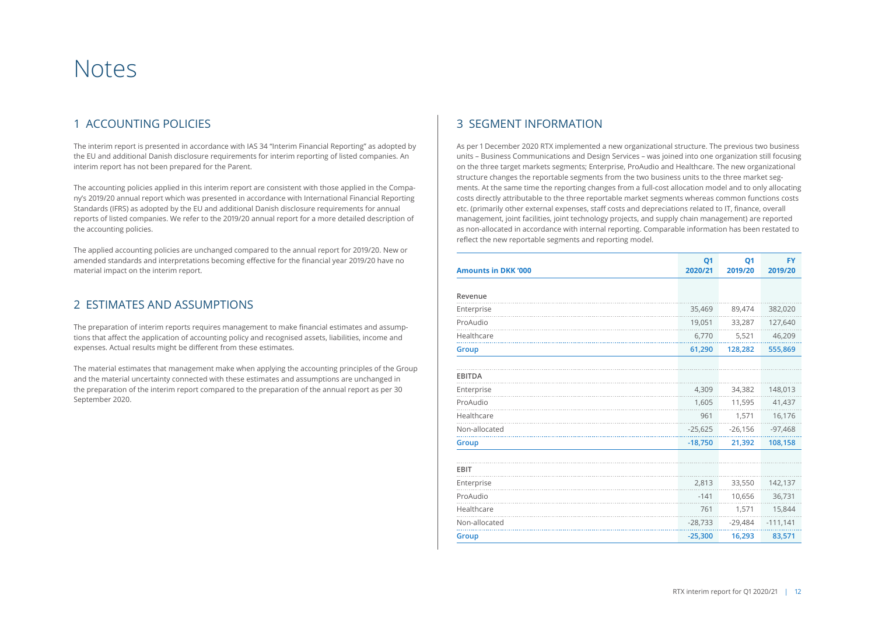## Notes

### 1 ACCOUNTING POLICIES

The interim report is presented in accordance with IAS 34 "Interim Financial Reporting" as adopted by the EU and additional Danish disclosure requirements for interim reporting of listed companies. An interim report has not been prepared for the Parent.

The accounting policies applied in this interim report are consistent with those applied in the Company's 2019/20 annual report which was presented in accordance with International Financial Reporting Standards (IFRS) as adopted by the EU and additional Danish disclosure requirements for annual reports of listed companies. We refer to the 2019/20 annual report for a more detailed description of the accounting policies.

The applied accounting policies are unchanged compared to the annual report for 2019/20. New or amended standards and interpretations becoming effective for the financial year 2019/20 have no material impact on the interim report.

#### 2 ESTIMATES AND ASSUMPTIONS

The preparation of interim reports requires management to make financial estimates and assumptions that affect the application of accounting policy and recognised assets, liabilities, income and expenses. Actual results might be different from these estimates.

The material estimates that management make when applying the accounting principles of the Group and the material uncertainty connected with these estimates and assumptions are unchanged in the preparation of the interim report compared to the preparation of the annual report as per 30 September 2020.

### 3 SEGMENT INFORMATION

As per 1 December 2020 RTX implemented a new organizational structure. The previous two business units – Business Communications and Design Services – was joined into one organization still focusing on the three target markets segments; Enterprise, ProAudio and Healthcare. The new organizational structure changes the reportable segments from the two business units to the three market segments. At the same time the reporting changes from a full-cost allocation model and to only allocating costs directly attributable to the three reportable market segments whereas common functions costs etc. (primarily other external expenses, staff costs and depreciations related to IT, finance, overall management, joint facilities, joint technology projects, and supply chain management) are reported as non-allocated in accordance with internal reporting. Comparable information has been restated to reflect the new reportable segments and reporting model.

| <b>Amounts in DKK '000</b> | Q <sub>1</sub><br>2020/21 | <b>Q1</b><br>2019/20 | <b>FY</b><br>2019/20 |
|----------------------------|---------------------------|----------------------|----------------------|
|                            |                           |                      |                      |
| Revenue                    |                           |                      |                      |
| Enterprise                 | 35,469                    | 89,474               | 382,020              |
| ProAudio                   | 19,051                    | 33,287               | 127,640              |
| Healthcare                 | 6,770                     | 5,521                | 46,209               |
| Group                      | 61,290                    | 128,282              | 555,869              |
|                            |                           |                      |                      |
| <b>EBITDA</b>              |                           |                      |                      |
| Enterprise                 | 4,309                     | 34,382               | 148,013              |
| ProAudio                   | 1,605                     | 11,595               | 41,437               |
| Healthcare                 | 961                       | 1,571                | 16,176               |
| Non-allocated              | $-25,625$                 | $-26,156$            | $-97,468$            |
| Group                      | $-18,750$                 | 21,392               | 108,158              |
| EBIT                       |                           |                      |                      |
| Enterprise                 | 2,813                     | 33,550               | 142,137              |
| ProAudio                   | $-141$                    | 10,656               | 36,731               |
| Healthcare                 | 761                       | 1,571                | 15,844               |
| Non-allocated              | $-28,733$                 | $-29,484$            | $-111,141$           |
| <b>Group</b>               | $-25,300$                 | 16,293               | 83,571               |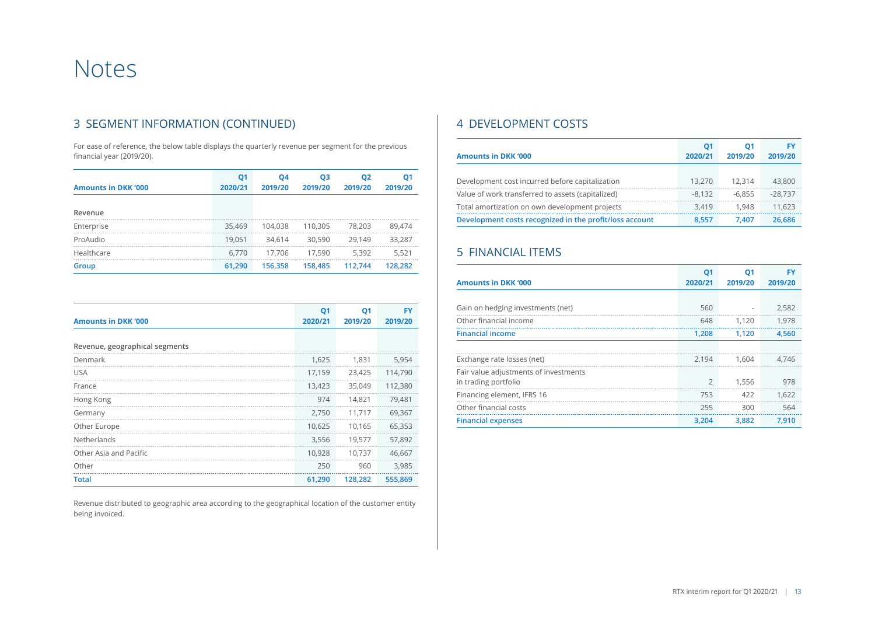## Notes

### 3 SEGMENT INFORMATION (CONTINUED)

For ease of reference, the below table displays the quarterly revenue per segment for the previous financial year (2019/20).

| <b>Amounts in DKK '000</b> | Q <sub>1</sub><br>2020/21 | 04<br>2019/20 | Q3<br>2019/20 | Q <sub>2</sub><br>2019/20 | Q <sub>1</sub><br>2019/20 |
|----------------------------|---------------------------|---------------|---------------|---------------------------|---------------------------|
| Revenue                    |                           |               |               |                           |                           |
| Enterprise                 | 35,469                    | 104.038       | 110.305       | 78.203                    | 89.474                    |
| ProAudio                   | 19.051                    | 34.614        | 30,590        | 29.149                    | 33,287                    |
| Healthcare                 | 6.770                     | 17.706        | 17.590        | 5.392                     | 5,521                     |
| Group                      | 61,290                    | 156.358       | 158,485       | 112.744                   | 128,282                   |

| <b>Amounts in DKK '000</b>     | Q <sub>1</sub><br>2020/21 | <b>Q1</b><br>2019/20 | <b>FY</b><br>2019/20 |
|--------------------------------|---------------------------|----------------------|----------------------|
|                                |                           |                      |                      |
| Revenue, geographical segments |                           |                      |                      |
| Denmark                        | 1,625                     | 1.831                | 5,954                |
| <b>USA</b>                     | 17,159                    | 23,425               | 114,790              |
| France                         | 13,423                    | 35,049               | 112,380              |
| Hong Kong                      | 974                       | 14,821               | 79,481               |
| Germany                        | 2,750                     | 11,717               | 69,367               |
| Other Europe                   | 10,625                    | 10,165               | 65,353               |
| Netherlands                    | 3,556                     | 19,577               | 57,892               |
| Other Asia and Pacific         | 10,928                    | 10,737               | 46,667               |
| Other                          | 250                       | 960                  | 3.985                |
| <b>Total</b>                   | 61,290                    | 128,282              | 555,869              |

Revenue distributed to geographic area according to the geographical location of the customer entity being invoiced.

### 4 DEVELOPMENT COSTS

|                                                         | Q1       | 01       | FY        |
|---------------------------------------------------------|----------|----------|-----------|
| <b>Amounts in DKK '000</b>                              | 2020/21  | 2019/20  | 2019/20   |
|                                                         |          |          |           |
| Development cost incurred before capitalization         | 13.270   | 12.314   | 43,800    |
| Value of work transferred to assets (capitalized)       | $-8.132$ | $-6.855$ | $-28.737$ |
| Total amortization on own development projects          | 3.419    | 1.948    | 11.623    |
| Development costs recognized in the profit/loss account | 8.557    | 7.407    | 26.686    |

### 5 FINANCIAL ITEMS

| <b>Amounts in DKK '000</b>            | Q <sub>1</sub><br>2020/21 | Q1<br>2019/20 | FY<br>2019/20 |
|---------------------------------------|---------------------------|---------------|---------------|
|                                       |                           |               |               |
| Gain on hedging investments (net)     | 560                       | ۰             | 2,582         |
| Other financial income                | 648                       | 1.120         | 1.978         |
| <b>Financial income</b>               | 1,208                     | 1.120         | 4,560         |
|                                       |                           |               |               |
| Exchange rate losses (net)            | 2.194                     | 1.604         | 4,746         |
| Fair value adjustments of investments |                           |               |               |
| in trading portfolio                  | $\overline{2}$            | 1.556         | 978           |
| Financing element, IFRS 16            | 753                       | 422           | 1,622         |
| Other financial costs                 | 255                       | 300           | 564           |
| <b>Financial expenses</b>             | 3,204                     | 3,882         | 7.910         |